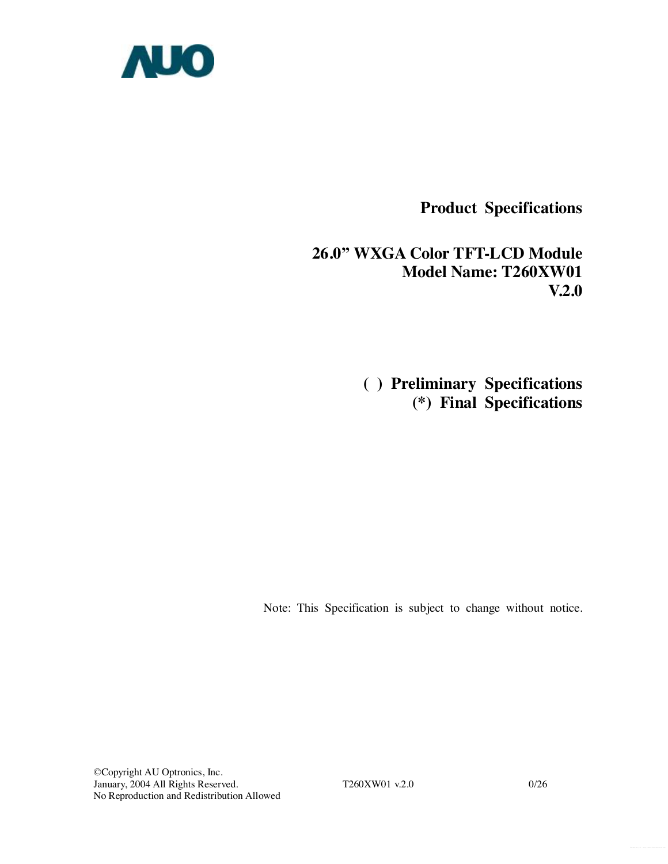

**Product Specifications** 

**26.0" WXGA Color TFT-LCD Module Model Name: T260XW01 V.2.0** 

> **( ) Preliminary Specifications (\*) Final Specifications**

Note: This Specification is subject to change without notice.

©Copyright AU Optronics, Inc. January, 2004 All Rights Reserved. T260XW01 v.2.0 0/26 No Reproduction and Redistribution Allowed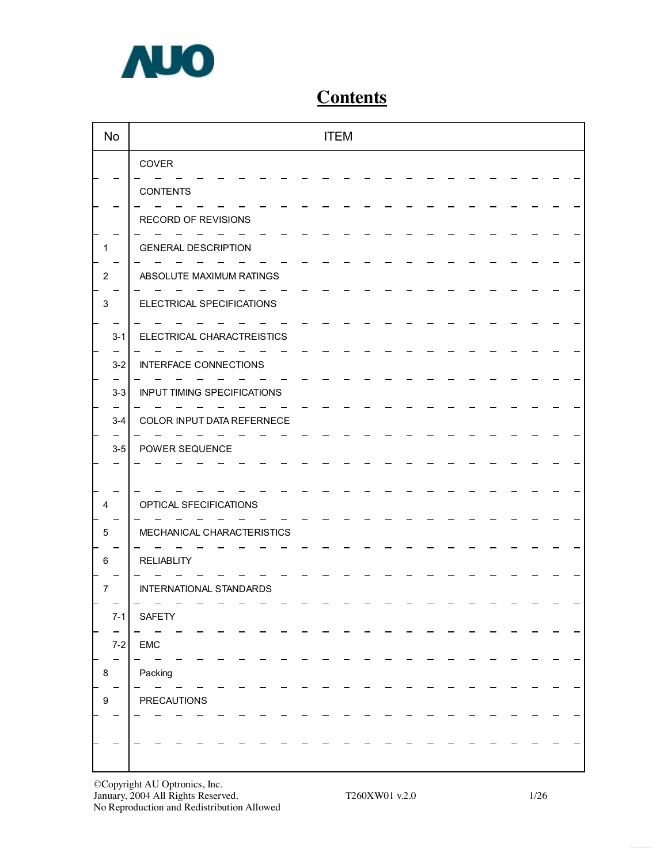

# **Contents**

| <b>No</b>      | <b>ITEM</b>                        |  |
|----------------|------------------------------------|--|
|                | COVER                              |  |
|                | <b>CONTENTS</b>                    |  |
|                | RECORD OF REVISIONS                |  |
| 1              | <b>GENERAL DESCRIPTION</b>         |  |
| $\overline{c}$ | ABSOLUTE MAXIMUM RATINGS           |  |
| 3              | ELECTRICAL SPECIFICATIONS          |  |
| $3 - 1$        | ELECTRICAL CHARACTREISTICS         |  |
| $3-2$          | <b>INTERFACE CONNECTIONS</b>       |  |
| $3-3$          | <b>INPUT TIMING SPECIFICATIONS</b> |  |
| $3-4$          | COLOR INPUT DATA REFERNECE         |  |
| $3-5$          | POWER SEQUENCE                     |  |
|                |                                    |  |
| 4              | OPTICAL SFECIFICATIONS             |  |
| 5              | MECHANICAL CHARACTERISTICS         |  |
| 6              | <b>RELIABLITY</b>                  |  |
| 7              | INTERNATIONAL STANDARDS            |  |
| $7-1$          | SAFETY                             |  |
| $7 - 2$        | EMC                                |  |
| 8              | Packing                            |  |
| 9              | <b>PRECAUTIONS</b>                 |  |
|                |                                    |  |
|                |                                    |  |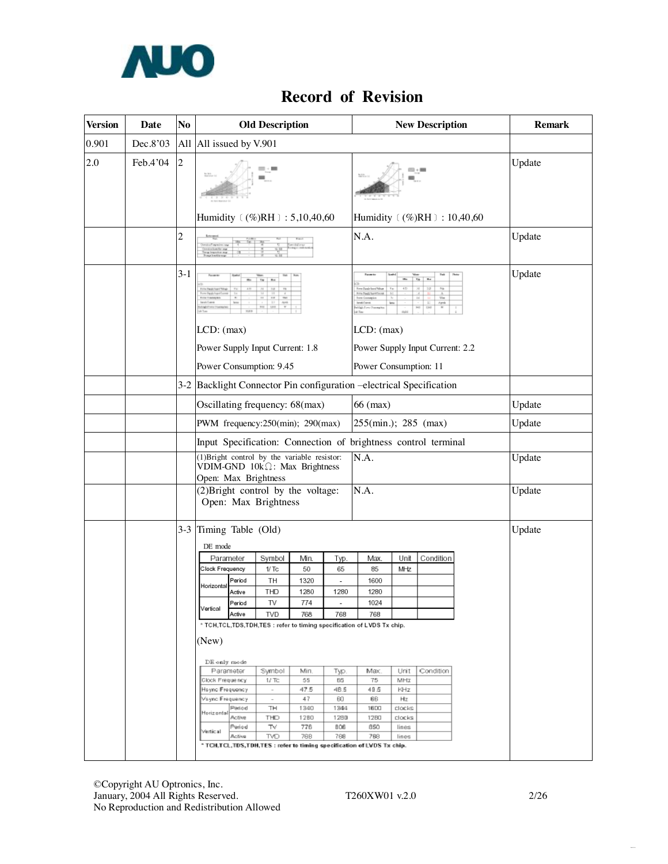

## **Record of Revision**

| <b>Version</b> | <b>Date</b> | No             |                               |                                                                | <b>Old Description</b>                                                        |            |            |                                                                               |                | <b>New Description</b>  | <b>Remark</b> |
|----------------|-------------|----------------|-------------------------------|----------------------------------------------------------------|-------------------------------------------------------------------------------|------------|------------|-------------------------------------------------------------------------------|----------------|-------------------------|---------------|
| 0.901          | Dec.8'03    |                | All All issued by V.901       |                                                                |                                                                               |            |            |                                                                               |                |                         |               |
| 2.0            | Feb.4'04    | $\overline{c}$ |                               |                                                                |                                                                               |            |            |                                                                               |                |                         | Update        |
|                |             |                |                               |                                                                | Humidity (%)RH : 5,10,40,60                                                   |            |            | Humidity (%)RH : 10,40,60                                                     |                |                         |               |
|                |             | 2              |                               |                                                                |                                                                               |            |            | N.A.                                                                          |                |                         | Update        |
|                |             | $3-1$          |                               |                                                                | $T+1$                                                                         |            |            | Form to                                                                       |                | $\gamma\gamma_{\rm HI}$ | Update        |
|                |             |                | LCD: (max)                    |                                                                |                                                                               |            |            | LCD: (max)                                                                    |                |                         |               |
|                |             |                |                               |                                                                | Power Supply Input Current: 1.8                                               |            |            | Power Supply Input Current: 2.2                                               |                |                         |               |
|                |             |                |                               |                                                                | Power Consumption: 9.45                                                       |            |            | Power Consumption: 11                                                         |                |                         |               |
|                |             |                |                               |                                                                |                                                                               |            |            | 3-2 Backlight Connector Pin configuration -electrical Specification           |                |                         |               |
|                |             |                |                               |                                                                | Oscillating frequency: 68(max)                                                |            |            | $66$ (max)                                                                    |                |                         | Update        |
|                |             |                |                               |                                                                | PWM frequency: 250(min); 290(max)                                             |            |            | 255(min.); 285 (max)                                                          |                |                         | Update        |
|                |             |                |                               | Input Specification: Connection of brightness control terminal |                                                                               |            |            |                                                                               |                |                         |               |
|                |             |                | Open: Max Brightness          |                                                                | (1) Bright control by the variable resistor:<br>VDIM-GND 10kΩ: Max Brightness |            |            | N.A.                                                                          |                |                         | Update        |
|                |             |                |                               |                                                                | (2) Bright control by the voltage:<br>Open: Max Brightness                    |            |            | N.A.                                                                          |                |                         | Update        |
|                |             | $3-3$          | Timing Table (Old)<br>DE mode |                                                                |                                                                               |            |            |                                                                               |                |                         | Update        |
|                |             |                | Parameter                     |                                                                | Symbol                                                                        | Min.       | Typ.       | Max.                                                                          | Unit           | Condition               |               |
|                |             |                | Clock Frequency               | Period                                                         | 1/Tc<br>TH                                                                    | 50<br>1320 | 65         | 85<br>1600                                                                    | MHz            |                         |               |
|                |             |                | Horizontal                    | Active                                                         | THD                                                                           | 1280       | 1280       | 1280                                                                          |                |                         |               |
|                |             |                | Vertical                      | Period                                                         | TV                                                                            | 774        |            | 1024                                                                          |                |                         |               |
|                |             |                |                               | Active                                                         | TVD                                                                           | 768        | 768        | 768<br>* TCH,TCL,TDS,TDH,TES : refer to timing specification of LVDS Tx chip. |                |                         |               |
|                |             |                | (New)                         |                                                                |                                                                               |            |            |                                                                               |                |                         |               |
|                |             |                | DE only mode                  |                                                                |                                                                               |            |            |                                                                               |                |                         |               |
|                |             |                | Parameter<br>Clock Frequency  |                                                                | Symbol<br>$1/$ TC                                                             | Min.<br>55 | Тур.<br>65 | Max<br>75                                                                     | Unit<br>MHz    | Condition               |               |
|                |             |                | Hayne Frequency               |                                                                | $\overline{\phantom{a}}$                                                      | 47.5       | 4B.5       | 48.5                                                                          | KHz            |                         |               |
|                |             |                | Vsync Frequency               | Period                                                         | $\sim$<br>TH                                                                  | 47<br>1340 | 60<br>1344 | 66<br>1600                                                                    | Hiz<br>clocks  |                         |               |
|                |             |                | Horizontal                    | Active                                                         | THD                                                                           | 1280       | 1280       | <b>12BO</b>                                                                   | clocks         |                         |               |
|                |             |                | Vertical                      | Period<br>Active                                               | TV<br>TVD                                                                     | 776<br>768 | 806<br>768 | 850<br>768                                                                    | lines<br>lines |                         |               |
|                |             |                |                               |                                                                |                                                                               |            |            | * TCH,TCL,TDS,TDH,TES : refer to timing specification of LVDS Tx chip.        |                |                         |               |

 $\overline{\phantom{a}}$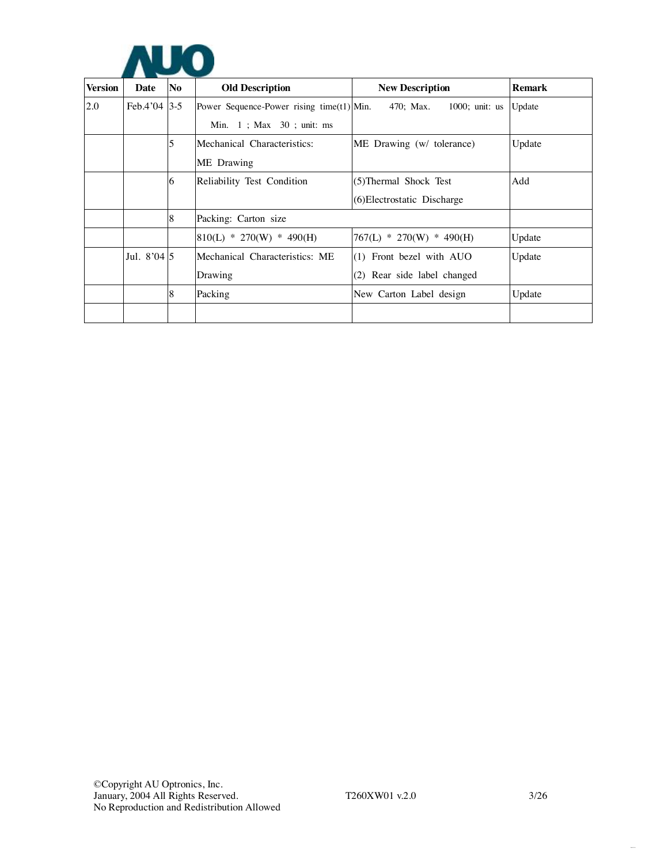

| <b>Version</b> | Date          | No | <b>Old Description</b>                       | <b>New Description</b>         | <b>Remark</b> |
|----------------|---------------|----|----------------------------------------------|--------------------------------|---------------|
| 2.0            | Feb.4'04 3-5  |    | Power Sequence-Power rising time $(t1)$ Min. | 470; Max.<br>$1000$ ; unit: us | Update        |
|                |               |    | Min. $1$ ; Max $30$ ; unit: ms               |                                |               |
|                |               | 5  | Mechanical Characteristics:                  | ME Drawing (w/ tolerance)      | Update        |
|                |               |    | ME Drawing                                   |                                |               |
|                |               | 6  | Reliability Test Condition                   | (5) Thermal Shock Test         | Add           |
|                |               |    |                                              | (6) Electrostatic Discharge    |               |
|                |               | 8  | Packing: Carton size                         |                                |               |
|                |               |    | $810(L) * 270(W) * 490(H)$                   | $767(L) * 270(W) * 490(H)$     | Update        |
|                | Jul. $8'04 5$ |    | Mechanical Characteristics: ME               | $(1)$ Front bezel with AUO     | Update        |
|                |               |    | Drawing                                      | (2) Rear side label changed    |               |
|                |               | 8  | Packing                                      | New Carton Label design        | Update        |
|                |               |    |                                              |                                |               |

 $\ddotsc$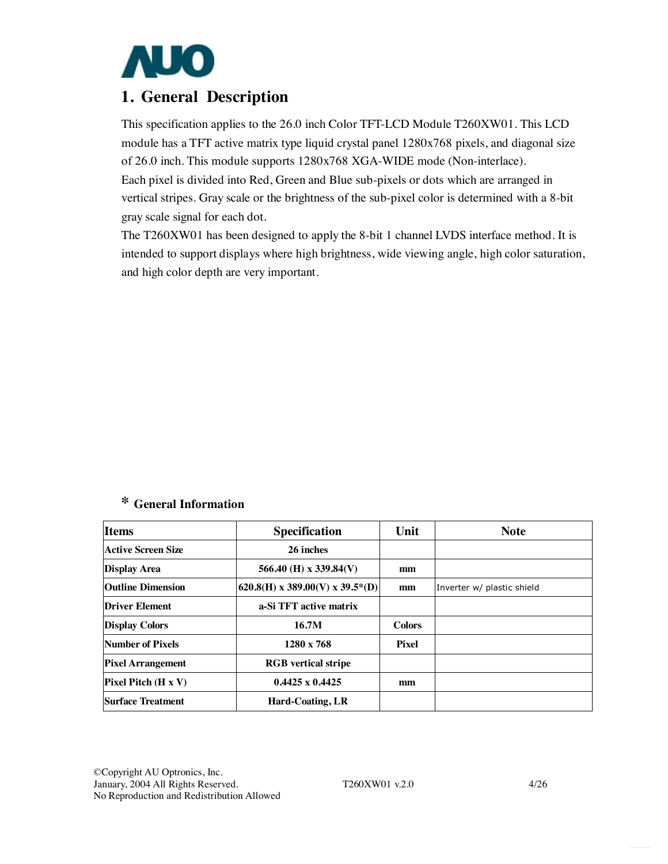

## **1. General Description**

This specification applies to the 26.0 inch Color TFT-LCD Module T260XW01. This LCD module has a TFT active matrix type liquid crystal panel 1280x768 pixels, and diagonal size of 26.0 inch. This module supports 1280x768 XGA-WIDE mode (Non-interlace). Each pixel is divided into Red, Green and Blue sub-pixels or dots which are arranged in vertical stripes. Gray scale or the brightness of the sub-pixel color is determined with a 8-bit gray scale signal for each dot.

The T260XW01 has been designed to apply the 8-bit 1 channel LVDS interface method. It is intended to support displays where high brightness, wide viewing angle, high color saturation, and high color depth are very important.

## **\* General Information**

| <b>Items</b>              | <b>Specification</b>            | Unit          | <b>Note</b>                |
|---------------------------|---------------------------------|---------------|----------------------------|
| <b>Active Screen Size</b> | 26 inches                       |               |                            |
| <b>Display Area</b>       | 566.40 (H) x 339.84(V)          | mm            |                            |
| <b>Outline Dimension</b>  | 620.8(H) x 389.00(V) x 39.5*(D) | mm            | Inverter w/ plastic shield |
| <b>Driver Element</b>     | a-Si TFT active matrix          |               |                            |
| <b>Display Colors</b>     | 16.7M                           | <b>Colors</b> |                            |
| Number of Pixels          | $1280 \times 768$               | Pixel         |                            |
| <b>Pixel Arrangement</b>  | <b>RGB</b> vertical stripe      |               |                            |
| $Pixel$ Pitch $(H x V)$   | $0.4425 \times 0.4425$          | mm            |                            |
| <b>Surface Treatment</b>  | <b>Hard-Coating, LR</b>         |               |                            |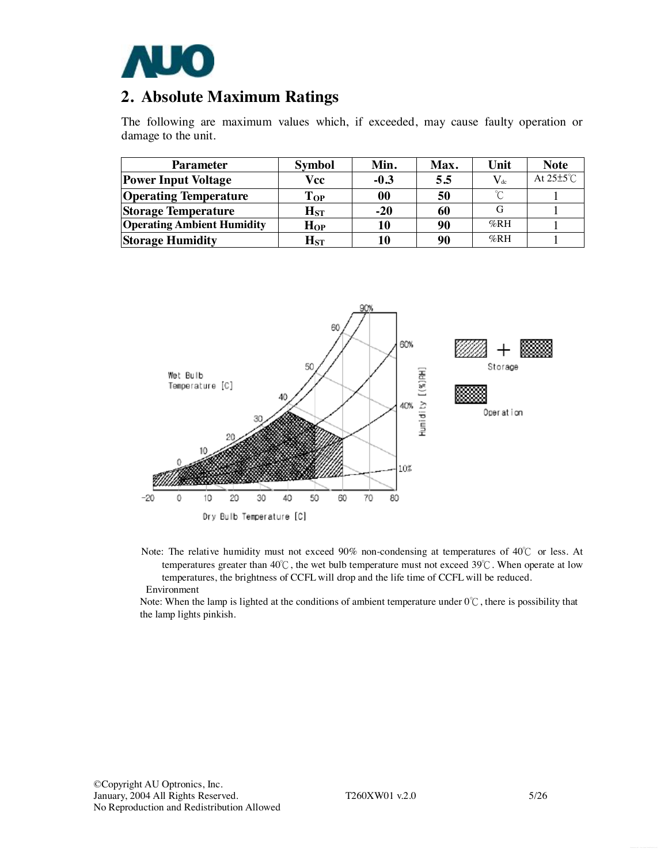

## **2. Absolute Maximum Ratings**

The following are maximum values which, if exceeded, may cause faulty operation or damage to the unit.

| <b>Parameter</b>                  | <b>Symbol</b>              | Min.   | Max. | Unit     | <b>Note</b>           |
|-----------------------------------|----------------------------|--------|------|----------|-----------------------|
| <b>Power Input Voltage</b>        | Vcc                        | $-0.3$ | 5.5  | $V_{dc}$ | At $25\pm5^{\circ}$ C |
| <b>Operating Temperature</b>      | $\bf{Top}$                 | 00     | 50   | $\sim$   |                       |
| <b>Storage Temperature</b>        | $\mathbf{H}_{\mathrm{ST}}$ | $-20$  | 60   |          |                       |
| <b>Operating Ambient Humidity</b> | $H_{OP}$                   | 10     | 90   | %RH      |                       |
| <b>Storage Humidity</b>           | $\mathbf{H}_{\mathrm{ST}}$ | 10     | 90   | $\%RH$   |                       |



Note: The relative humidity must not exceed 90% non-condensing at temperatures of 40℃ or less. At temperatures greater than  $40^{\circ}\text{C}$ , the wet bulb temperature must not exceed 39°C. When operate at low temperatures, the brightness of CCFL will drop and the life time of CCFL will be reduced. Environment

Note: When the lamp is lighted at the conditions of ambient temperature under 0℃, there is possibility that the lamp lights pinkish.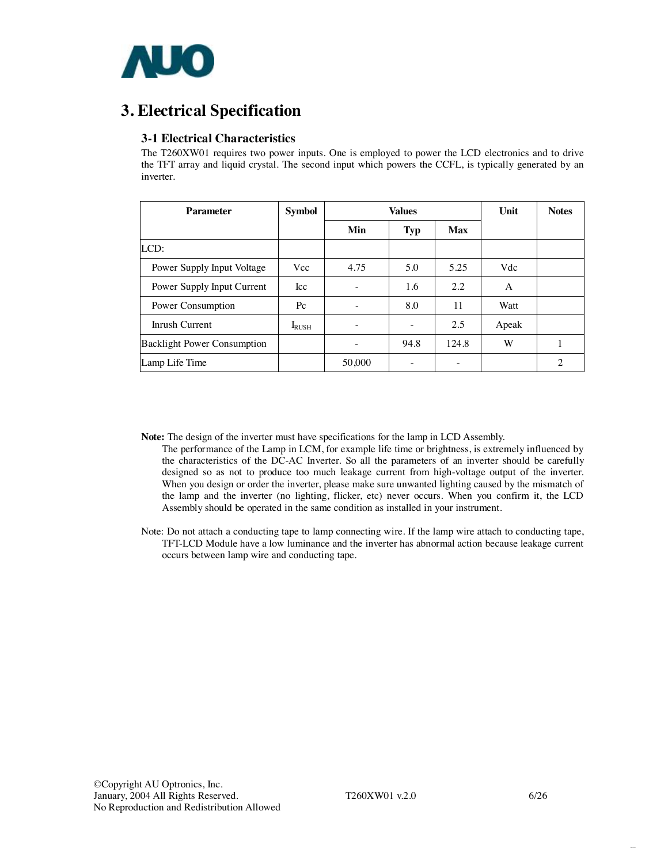

## **3. Electrical Specification**

## **3-1 Electrical Characteristics**

The T260XW01 requires two power inputs. One is employed to power the LCD electronics and to drive the TFT array and liquid crystal. The second input which powers the CCFL, is typically generated by an inverter.

| <b>Parameter</b>                   | <b>Symbol</b> |                          | <b>Values</b> | Unit                     | <b>Notes</b> |                |
|------------------------------------|---------------|--------------------------|---------------|--------------------------|--------------|----------------|
|                                    |               | Min                      | Typ           | Max                      |              |                |
| LCD:                               |               |                          |               |                          |              |                |
| Power Supply Input Voltage         | Vcc           | 4.75                     | 5.0           | 5.25                     | Vdc          |                |
| Power Supply Input Current         | <b>Icc</b>    | $\overline{\phantom{a}}$ | 1.6           | 2.2                      | A            |                |
| Power Consumption                  | $P_{\rm C}$   | $\qquad \qquad -$        | 8.0           | 11                       | Watt         |                |
| Inrush Current                     | $I_{RUSH}$    |                          |               | 2.5                      | Apeak        |                |
| <b>Backlight Power Consumption</b> |               |                          | 94.8          | 124.8                    | W            | ш              |
| Lamp Life Time                     |               | 50,000                   |               | $\overline{\phantom{0}}$ |              | $\overline{2}$ |

**Note:** The design of the inverter must have specifications for the lamp in LCD Assembly.

- The performance of the Lamp in LCM, for example life time or brightness, is extremely influenced by the characteristics of the DC-AC Inverter. So all the parameters of an inverter should be carefully designed so as not to produce too much leakage current from high-voltage output of the inverter. When you design or order the inverter, please make sure unwanted lighting caused by the mismatch of the lamp and the inverter (no lighting, flicker, etc) never occurs. When you confirm it, the LCD Assembly should be operated in the same condition as installed in your instrument.
- Note: Do not attach a conducting tape to lamp connecting wire. If the lamp wire attach to conducting tape, TFT-LCD Module have a low luminance and the inverter has abnormal action because leakage current occurs between lamp wire and conducting tape.

Data Sheet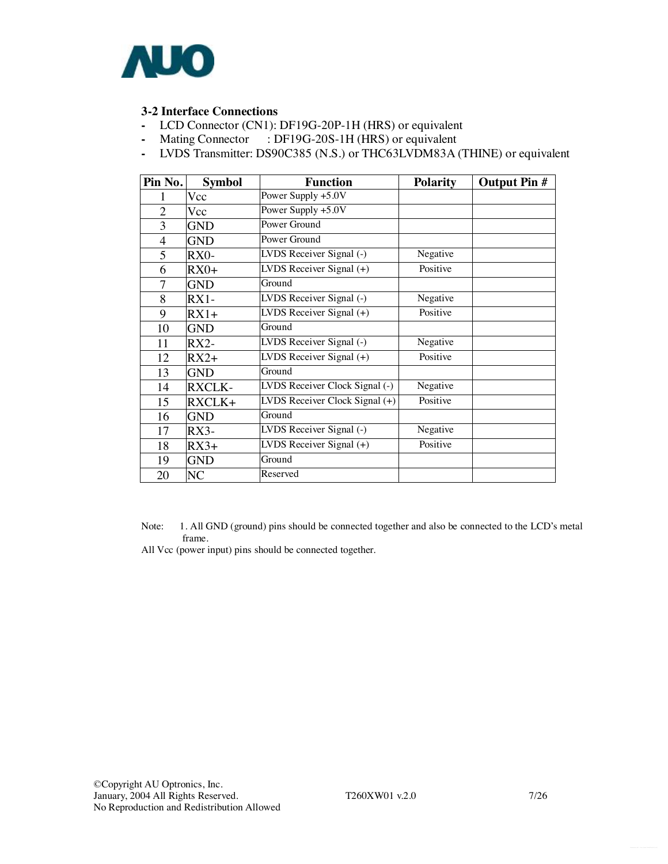

## **3-2 Interface Connections**

- LCD Connector (CN1): DF19G-20P-1H (HRS) or equivalent
- Mating Connector : DF19G-20S-1H (HRS) or equivalent
- LVDS Transmitter: DS90C385 (N.S.) or THC63LVDM83A (THINE) or equivalent

| Pin No.        | <b>Symbol</b> | <b>Function</b>                               | <b>Polarity</b> | <b>Output Pin #</b> |
|----------------|---------------|-----------------------------------------------|-----------------|---------------------|
|                | Vcc           | Power Supply +5.0V                            |                 |                     |
| $\overline{2}$ | Vcc           | Power Supply +5.0V                            |                 |                     |
| 3              | <b>GND</b>    | Power Ground                                  |                 |                     |
| $\overline{4}$ | <b>GND</b>    | Power Ground                                  |                 |                     |
| 5              | RX0-          | LVDS Receiver Signal (-)                      | Negative        |                     |
| 6              | $RX0+$        | LVDS Receiver Signal $(+)$                    | Positive        |                     |
| 7              | <b>GND</b>    | Ground                                        |                 |                     |
| 8              | $RX1-$        | LVDS Receiver Signal (-)                      | Negative        |                     |
| 9              | $RX1+$        | LVDS Receiver Signal $(+)$                    | Positive        |                     |
| 10             | GND           | Ground                                        |                 |                     |
| 11             | $RX2-$        | LVDS Receiver Signal (-)                      | Negative        |                     |
| 12             | $RX2+$        | $\overline{\text{LVD}}$ S Receiver Signal (+) | Positive        |                     |
| 13             | <b>GND</b>    | Ground                                        |                 |                     |
| 14             | <b>RXCLK-</b> | LVDS Receiver Clock Signal (-)                | Negative        |                     |
| 15             | RXCLK+        | LVDS Receiver Clock Signal (+)                | Positive        |                     |
| 16             | GND           | Ground                                        |                 |                     |
| 17             | $RX3-$        | LVDS Receiver Signal (-)                      | Negative        |                     |
| 18             | $RX3+$        | LVDS Receiver Signal $(+)$                    | Positive        |                     |
| 19             | <b>GND</b>    | Ground                                        |                 |                     |
| 20             | NC            | Reserved                                      |                 |                     |

Note: 1. All GND (ground) pins should be connected together and also be connected to the LCD's metal frame.

All Vcc (power input) pins should be connected together.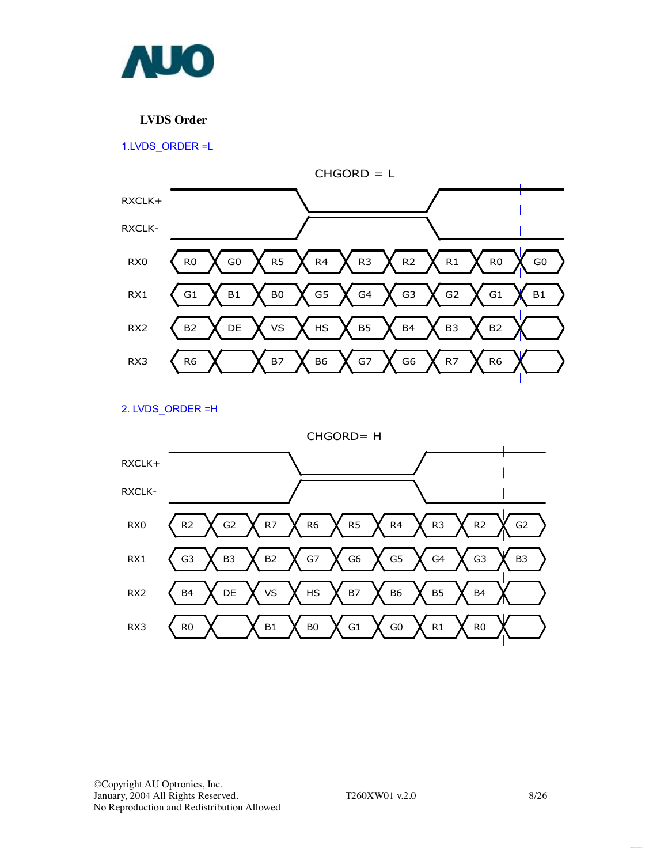

## **LVDS Order**

1.LVDS\_ORDER =L



2. LVDS\_ORDER =H

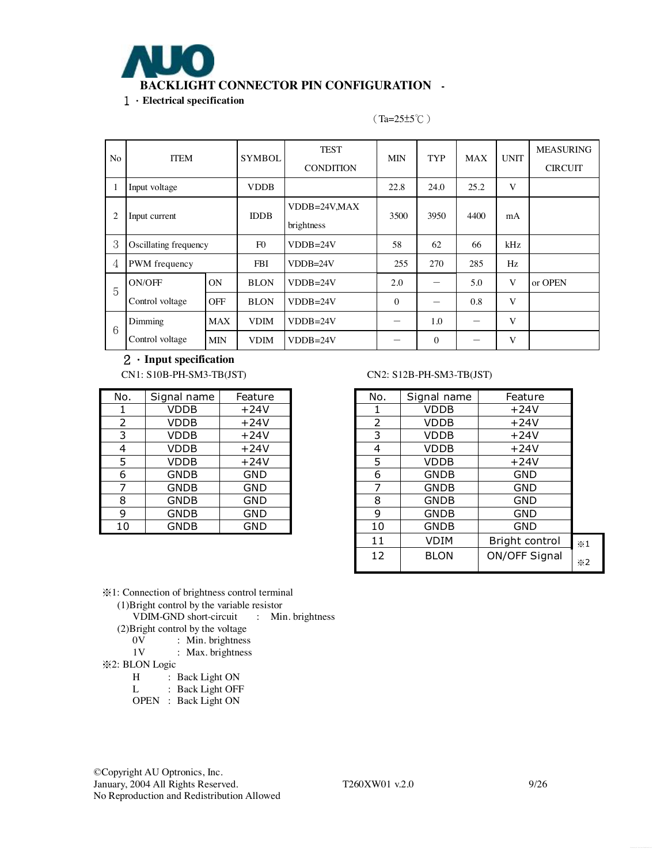

No ITEM SYMBOL TEST **CONDITION** MIN TYP MAX UNIT MEASURING **CIRCUIT** 1 | Input voltage | VDDB | 22.8 | 24.0 | 25.2 | V 2 Input current IDDB VDDB=24V,MAX brightness 3500 3950 4400 mA  $3$  Oscillating frequency F0 VDDB=24V 58 62 66 kHz 4 PWM frequency FBI VDDB=24V 255 270 285 Hz ON BLON VDDB=24V 2.0 - 5.0 V or OPEN 5 ON/OFF Control voltage OFF BLON VDDB=24V  $\vert$  0  $\vert$  - 0.8 V  $\begin{array}{|c|c|c|c|c|c|}\n\hline\n\end{array}$  MAX VDIM VDDB=24V - 1.0 - V Dimming Control voltage MIN VDIM VDDB=24V  $-$  0  $-$  V

(Ta=25±5℃)

2.**Input specification** 

| No. | Signal name | Feature    |
|-----|-------------|------------|
| 1   | <b>VDDB</b> | $+24V$     |
| 2   | <b>VDDB</b> | $+24V$     |
| 3   | <b>VDDB</b> | $+24V$     |
| 4   | <b>VDDB</b> | $+24V$     |
| 5   | <b>VDDB</b> | $+24V$     |
| 6   | <b>GNDB</b> | <b>GND</b> |
| 7   | <b>GNDB</b> | <b>GND</b> |
| 8   | <b>GNDB</b> | <b>GND</b> |
| 9   | <b>GNDB</b> | <b>GND</b> |
| 10  | <b>GNDB</b> | GND        |

#### CN1: S10B-PH-SM3-TB(JST) CN2: S12B-PH-SM3-TB(JST)

| No. | Signal name | Feature    | No. | Signal name | Feature        |                    |
|-----|-------------|------------|-----|-------------|----------------|--------------------|
|     | <b>VDDB</b> | $+24V$     |     | <b>VDDB</b> | $+24V$         |                    |
| 2   | <b>VDDB</b> | $+24V$     | 2   | VDDB        | $+24V$         |                    |
| 3   | <b>VDDB</b> | $+24V$     | 3   | <b>VDDB</b> | $+24V$         |                    |
| 4   | <b>VDDB</b> | $+24V$     | 4   | VDDB        | $+24V$         |                    |
| 5   | <b>VDDB</b> | $+24V$     | 5   | <b>VDDB</b> | $+24V$         |                    |
| 6   | <b>GNDB</b> | <b>GND</b> | 6   | <b>GNDB</b> | <b>GND</b>     |                    |
| 7   | <b>GNDB</b> | <b>GND</b> | 7   | <b>GNDB</b> | <b>GND</b>     |                    |
| 8   | <b>GNDB</b> | <b>GND</b> | 8   | <b>GNDB</b> | <b>GND</b>     |                    |
| 9   | <b>GNDB</b> | <b>GND</b> | 9   | <b>GNDB</b> | <b>GND</b>     |                    |
| 10  | <b>GNDB</b> | <b>GND</b> | 10  | <b>GNDB</b> | <b>GND</b>     |                    |
|     |             |            | 11  | <b>VDIM</b> | Bright control | $\times 1$         |
|     |             |            | 12  | <b>BLON</b> | ON/OFF Signal  | $\divideontimes$ 2 |

※1: Connection of brightness control terminal

(1)Bright control by the variable resistor

VDIM-GND short-circuit : Min. brightness

(2) Bright control by the voltage  $0V$ : Min. brightness

- 0V : Min. brightness<br>1V : Max. brightness
- : Max. brightness
- ※2: BLON Logic

H : Back Light ON<br>L : Back Light OFF

: Back Light OFF

OPEN : Back Light ON

©Copyright AU Optronics, Inc. January, 2004 All Rights Reserved. T260XW01 v.2.0 9/26 No Reproduction and Redistribution Allowed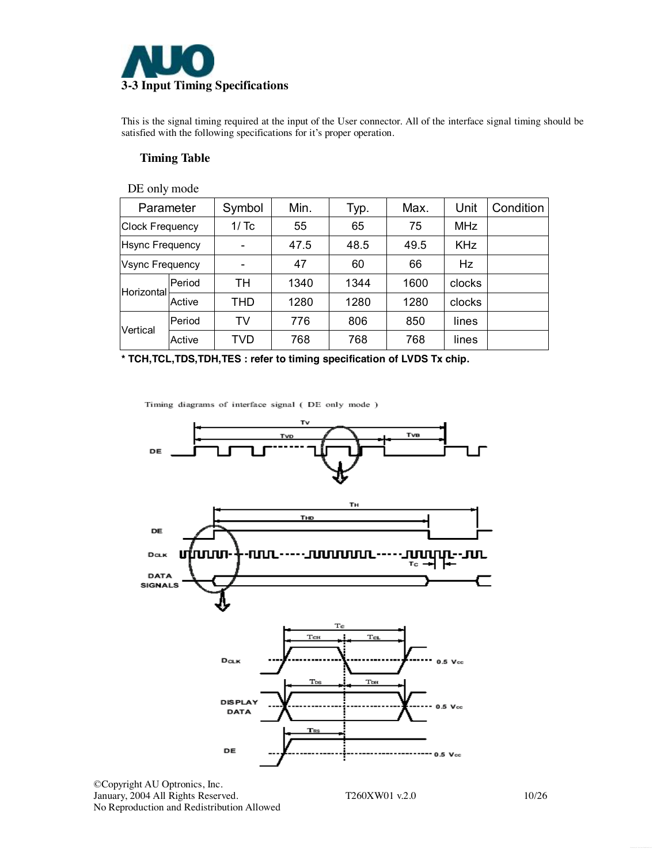

This is the signal timing required at the input of the User connector. All of the interface signal timing should be satisfied with the following specifications for it's proper operation.

### **Timing Table**

| DE only mode           |        |            |      |      |      |            |           |
|------------------------|--------|------------|------|------|------|------------|-----------|
| Parameter              |        | Symbol     | Min. | Typ. | Max. | Unit       | Condition |
| <b>Clock Frequency</b> |        | 1/Tc       | 55   | 65   | 75   | <b>MHz</b> |           |
| <b>Hsync Frequency</b> |        |            | 47.5 | 48.5 | 49.5 | <b>KHz</b> |           |
| Vsync Frequency        |        |            | 47   | 60   | 66   | <b>Hz</b>  |           |
| Horizontal             | Period | TН         | 1340 | 1344 | 1600 | clocks     |           |
|                        | Active | <b>THD</b> | 1280 | 1280 | 1280 | clocks     |           |
| Vertical               | Period | TV         | 776  | 806  | 850  | lines      |           |
|                        | Active | TVD        | 768  | 768  | 768  | lines      |           |

**\* TCH,TCL,TDS,TDH,TES : refer to timing specification of LVDS Tx chip.**

Timing diagrams of interface signal (DE only mode )



©Copyright AU Optronics, Inc. January, 2004 All Rights Reserved. T260XW01 v.2.0 10/26 No Reproduction and Redistribution Allowed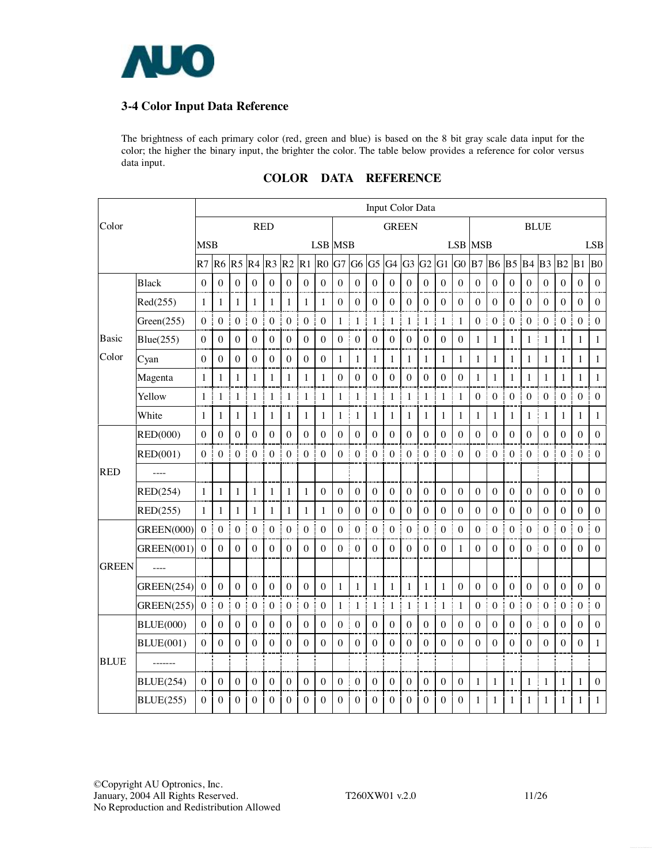

## **3-4 Color Input Data Reference**

The brightness of each primary color (red, green and blue) is based on the 8 bit gray scale data input for the color; the higher the binary input, the brighter the color. The table below provides a reference for color versus data input.

|              |                   |                |                  |                  |                     |                       |                   |                       |                        |                       |                  |                  | Input Color Data      |                   |                  |                   |                  |                       |                  |                       |                  |                    |                       |                  |                  |
|--------------|-------------------|----------------|------------------|------------------|---------------------|-----------------------|-------------------|-----------------------|------------------------|-----------------------|------------------|------------------|-----------------------|-------------------|------------------|-------------------|------------------|-----------------------|------------------|-----------------------|------------------|--------------------|-----------------------|------------------|------------------|
| Color        |                   |                |                  |                  |                     | <b>RED</b>            |                   |                       |                        |                       |                  |                  | <b>GREEN</b>          |                   |                  |                   |                  |                       |                  |                       |                  | <b>BLUE</b>        |                       |                  |                  |
|              |                   | <b>MSB</b>     |                  |                  |                     |                       |                   |                       | <b>LSB MSB</b>         |                       |                  |                  |                       |                   |                  |                   |                  | <b>LSB</b> MSB        |                  |                       |                  |                    |                       |                  | <b>LSB</b>       |
|              |                   | R7             | R <sub>6</sub>   | R <sub>5</sub>   | R <sub>4</sub>      | R <sub>3</sub>        | R2                | $R1$ $R0$             |                        | G7                    | G <sub>6</sub>   | G <sub>5</sub>   | $G4$ $G3$ $G2$ $G1$   |                   |                  |                   | G <sub>0</sub>   | B <sub>7</sub>        | <b>B6</b>        | <b>B5</b> B4          |                  | $B3$ <sub>B2</sub> |                       | B1               | B <sub>0</sub>   |
|              | <b>Black</b>      | $\theta$       | $\theta$         | $\theta$         | $\mathbf{0}$        | $\boldsymbol{0}$<br>÷ | $\theta$          | ÷<br>$\boldsymbol{0}$ | $\theta$               | $\boldsymbol{0}$      | $\boldsymbol{0}$ | $\boldsymbol{0}$ | $\overline{0}$        | $\boldsymbol{0}$  | $\theta$         | $\Omega$          | $\theta$         | Ť<br>$\theta$         | $\boldsymbol{0}$ | $\boldsymbol{0}$<br>Ŧ | $\theta$         | $\theta$           | $\theta$<br>÷         | $\theta$         | $\theta$         |
|              | Red(255)          | $\mathbf{1}$   | 1                | $\mathbf{1}$     | 1                   | $\mathbf{1}$          | $\mathbf{1}$      | 1                     | $\mathbf{1}$           | $\boldsymbol{0}$      | $\boldsymbol{0}$ | $\boldsymbol{0}$ | $\boldsymbol{0}$      | $\theta$          | $\mathbf{0}$     | $\boldsymbol{0}$  | $\boldsymbol{0}$ | $\boldsymbol{0}$      | $\boldsymbol{0}$ | $\boldsymbol{0}$      | $\boldsymbol{0}$ | $\boldsymbol{0}$   | $\boldsymbol{0}$      | $\boldsymbol{0}$ | $\boldsymbol{0}$ |
|              | Green(255)        | $\mathbf{0}$   | $\boldsymbol{0}$ | $\boldsymbol{0}$ | $\boldsymbol{0}$    | ł<br>$\boldsymbol{0}$ | $\boldsymbol{0}$  | $\boldsymbol{0}$      | Ť.<br>$\boldsymbol{0}$ | $\mathbf{1}$          | $\mathbf{1}$     | $\mathbf{1}$     | $\mathbf{1}$<br>ŧ     | $\mathbf{1}$<br>ļ | $\mathbf{1}$     | $\mathbf{1}$<br>I | $\mathbf{1}$     | Ī<br>$\boldsymbol{0}$ | $\boldsymbol{0}$ | Ī<br>$\boldsymbol{0}$ | $\boldsymbol{0}$ | $\boldsymbol{0}$   | $\mathbf{0}$<br>ł     | $\boldsymbol{0}$ | $\boldsymbol{0}$ |
| Basic        | Blue(255)         | $\mathbf{0}$   | $\boldsymbol{0}$ | $\mathbf{0}$     | $\boldsymbol{0}$    | $\boldsymbol{0}$      | $\boldsymbol{0}$  | $\mathbf{0}$          | $\boldsymbol{0}$       | ĵ<br>$\boldsymbol{0}$ | $\boldsymbol{0}$ | $\boldsymbol{0}$ | $\boldsymbol{0}$      | $\boldsymbol{0}$  | $\boldsymbol{0}$ | $\boldsymbol{0}$  | $\boldsymbol{0}$ | 1                     | $\mathbf{1}$     | $\mathbf{1}$          | $\mathbf{1}$     | $\mathbf{1}$       | $\mathbf{1}$          | $\mathbf{1}$     | $\mathbf{1}$     |
| Color        | Cyan              | $\mathbf{0}$   | $\boldsymbol{0}$ | $\boldsymbol{0}$ | $\overline{0}$<br>Ţ | $\boldsymbol{0}$      | $\overline{0}$    | $\mathbf{0}$          | $\boldsymbol{0}$       | $\mathbf{1}$          | $\mathbf{1}$     | 1                | $\mathbf{1}$<br>÷     | $\mathbf{1}$      | $\mathbf{1}$     | 1                 | $\mathbf{1}$     | $\mathbf{1}$<br>I     | $\mathbf{1}$     | $\mathbf{1}$<br>J     | $\mathbf{1}$     | 1                  | $\mathbf{1}$          | $\mathbf{1}$     | $\mathbf{1}$     |
|              | Magenta           | 1              | 1                | $\mathbf{1}$     | 1                   | $\mathbf{1}$          | $\mathbf{1}$      | $\mathbf{1}$          | $\mathbf{1}$           | $\boldsymbol{0}$      | $\boldsymbol{0}$ | $\boldsymbol{0}$ | $\boldsymbol{0}$      | $\boldsymbol{0}$  | $\boldsymbol{0}$ | $\theta$          | $\mathbf{0}$     | 1                     | $\mathbf{1}$     | $\mathbf{1}$          | 1                | 1                  | $\mathbf{1}$          | $\mathbf{1}$     | $\mathbf{1}$     |
|              | Yellow            | $\mathbf{1}$   | $\mathbf{1}$     | $\mathbf{1}$     | $\mathbf{1}$<br>ł   | $\mathbf{1}$          | $\mathbf{1}$<br>ī | $\mathbf{1}$          | ł<br>$\mathbf{1}$      | $\mathbf{1}$          | 1<br>Ť.          | $\mathbf{1}$     | $\mathbf{1}$<br>Ŧ     | $\mathbf{1}$<br>i | $\mathbf{1}$     | $\mathbf{1}$<br>j | $\mathbf{1}$     | $\boldsymbol{0}$<br>ŧ | $\boldsymbol{0}$ | $\boldsymbol{0}$<br>ŧ | $\boldsymbol{0}$ | $\boldsymbol{0}$   | $\boldsymbol{0}$<br>ŧ | $\boldsymbol{0}$ | $\Omega$         |
|              | White             | 1              | 1                | 1                | 1                   | 1                     | 1                 | 1                     | $\mathbf{1}$           | $\mathbf{1}$<br>ł     | $\mathbf{1}$     | 1                | $\mathbf{1}$          | $\mathbf{1}$      | $\mathbf{1}$     | 1                 | 1                | 1                     | 1                | 1                     | $\mathbf{1}$     | $\mathbf{1}$       | $\mathbf{1}$          | 1                | 1                |
|              | RED(000)          | $\mathbf{0}$   | $\Omega$         | $\boldsymbol{0}$ | $\mathbf{0}$        | $\boldsymbol{0}$      | $\Omega$          | $\boldsymbol{0}$      | $\boldsymbol{0}$       | $\boldsymbol{0}$      | $\boldsymbol{0}$ | $\boldsymbol{0}$ | $\boldsymbol{0}$      | $\boldsymbol{0}$  | $\boldsymbol{0}$ | $\boldsymbol{0}$  | $\boldsymbol{0}$ | $\boldsymbol{0}$      | $\boldsymbol{0}$ | $\boldsymbol{0}$      | $\boldsymbol{0}$ | $\boldsymbol{0}$   | $\boldsymbol{0}$      | $\boldsymbol{0}$ | $\boldsymbol{0}$ |
|              | RED(001)          | $\theta$       | $\mathbf{0}$     | $\boldsymbol{0}$ | 0 <sup>1</sup>      | $\boldsymbol{0}$      | $\mathbf{0}$      | $\boldsymbol{0}$<br>t | $\boldsymbol{0}$       | $\mathbf{0}$          | $\mathbf{0}$     | $\boldsymbol{0}$ | 0 <sup>1</sup>        | $\overline{0}$    | $\mathbf{0}$     | $\overline{0}$    | $\mathbf{0}$     | Ţ<br>$\boldsymbol{0}$ | $\boldsymbol{0}$ | $\boldsymbol{0}$<br>ł | $\theta$         | $\theta$           | 0 <sup>1</sup>        | $\boldsymbol{0}$ | $\mathbf{0}$     |
| <b>RED</b>   |                   |                |                  |                  |                     |                       |                   |                       |                        |                       |                  |                  |                       |                   |                  |                   |                  |                       |                  |                       |                  |                    |                       |                  |                  |
|              | RED(254)          | 1              | $\mathbf{1}$     | $\mathbf{1}$     | $\mathbf{1}$        | $\mathbf{1}$          | $\mathbf{1}$      | $\mathbf{1}$<br>j     | $\boldsymbol{0}$       | $\boldsymbol{0}$      | $\boldsymbol{0}$ | $\boldsymbol{0}$ | $\boldsymbol{0}$      | $\overline{0}$    | $\boldsymbol{0}$ | $\boldsymbol{0}$  | $\mathbf{0}$     | $\boldsymbol{0}$      | $\boldsymbol{0}$ | $\boldsymbol{0}$      | $\boldsymbol{0}$ | $\boldsymbol{0}$   | $\boldsymbol{0}$      | $\boldsymbol{0}$ | $\Omega$         |
|              | RED(255)          | $\mathbf{1}$   | 1                | $\mathbf{1}$     | $\mathbf{1}$        | $\mathbf{1}$          | $\mathbf{1}$      | $\mathbf{1}$          | $\mathbf{1}$           | $\boldsymbol{0}$      | $\boldsymbol{0}$ | $\boldsymbol{0}$ | $\boldsymbol{0}$      | $\boldsymbol{0}$  | $\boldsymbol{0}$ | $\mathbf{0}$      | $\mathbf{0}$     | $\mathbf{0}$          | $\boldsymbol{0}$ | $\boldsymbol{0}$      | $\boldsymbol{0}$ | $\boldsymbol{0}$   | $\boldsymbol{0}$      | $\boldsymbol{0}$ | $\boldsymbol{0}$ |
|              | <b>GREEN(000)</b> | $\mathbf{0}$   | $\mathbf{0}$     | $\boldsymbol{0}$ | $\mathbf{0}$<br>ŧ   | $\boldsymbol{0}$      | $\boldsymbol{0}$  | ł<br>$\mathbf{0}$     | $\mathbf{0}$           | $\boldsymbol{0}$      | $\boldsymbol{0}$ | $\boldsymbol{0}$ | $\boldsymbol{0}$<br>ł | $\overline{0}$    | $\boldsymbol{0}$ | $\mathbf{0}$      | $\overline{0}$   | $\theta$<br>ŧ         | $\boldsymbol{0}$ | j<br>$\boldsymbol{0}$ | $\mathbf{0}$     | $\Omega$           | $\boldsymbol{0}$<br>÷ | $\mathbf{0}$     | $\mathbf{0}$     |
|              | <b>GREEN(001)</b> | $\Omega$       | $\mathbf{0}$     | $\mathbf{0}$     | $\mathbf{0}$        | $\theta$              | $\Omega$          | $\mathbf{0}$          | $\mathbf{0}$           | $\mathbf{0}$<br>÷     | $\mathbf{0}$     | $\theta$         | $\boldsymbol{0}$      | $\theta$          | $\boldsymbol{0}$ | $\overline{0}$    | 1                | $\theta$              | $\mathbf{0}$     | $\theta$              | $\boldsymbol{0}$ | $\mathbf{0}$       | $\boldsymbol{0}$      | $\theta$         | $\mathbf{0}$     |
| <b>GREEN</b> | ----              |                |                  |                  |                     |                       |                   |                       |                        |                       |                  |                  |                       |                   |                  |                   |                  |                       |                  |                       |                  |                    |                       |                  |                  |
|              | <b>GREEN(254)</b> | $\mathbf{0}$   | $\boldsymbol{0}$ | $\boldsymbol{0}$ | $\boldsymbol{0}$    | $\mathbf{0}$          | $\mathbf{0}$      | $\boldsymbol{0}$      | $\mathbf{0}$           | $\mathbf{1}$          | $\mathbf{1}$     | $\mathbf{1}$     | $\mathbf{1}$          | $\mathbf{1}$      | $\mathbf{1}$     | $\mathbf{1}$      | $\boldsymbol{0}$ | $\boldsymbol{0}$      | $\boldsymbol{0}$ | $\mathbf{0}$          | $\boldsymbol{0}$ | $\boldsymbol{0}$   | $\boldsymbol{0}$      | $\boldsymbol{0}$ | $\boldsymbol{0}$ |
|              | <b>GREEN(255)</b> | $\overline{0}$ | $\overline{0}$   | $\mathbf{0}$     | ŧ<br>$\overline{0}$ | $\bf{0}$              | $\bf{0}$          | 0 <sup>1</sup>        | $\mathbf{0}$           | $\mathbf{1}$          | $\mathbf{1}$     | $\mathbf{1}$     | $\mathbf{1}$          | $\mathbf{1}$      | $\mathbf{1}$     | $\mathbf{1}$<br>I | $\mathbf{1}$     | ŧ<br>$\boldsymbol{0}$ | $\boldsymbol{0}$ | ł<br>$\boldsymbol{0}$ | $\boldsymbol{0}$ | $\boldsymbol{0}$   | $\overline{0}$        | $\boldsymbol{0}$ | $\Omega$         |
|              | <b>BLUE(000)</b>  | $\theta$       | $\boldsymbol{0}$ | $\boldsymbol{0}$ | $\mathbf{0}$        | $\boldsymbol{0}$      | $\mathbf{0}$      | $\mathbf{0}$          | $\boldsymbol{0}$       | $\boldsymbol{0}$      | $\boldsymbol{0}$ | $\boldsymbol{0}$ | $\boldsymbol{0}$      | $\boldsymbol{0}$  | $\boldsymbol{0}$ | $\boldsymbol{0}$  | $\boldsymbol{0}$ | $\boldsymbol{0}$      | $\boldsymbol{0}$ | $\boldsymbol{0}$      | $\boldsymbol{0}$ | $\boldsymbol{0}$   | $\boldsymbol{0}$      | $\boldsymbol{0}$ | $\boldsymbol{0}$ |
|              | <b>BLUE(001)</b>  | $\Omega$       | $\boldsymbol{0}$ | $\Omega$         | $\boldsymbol{0}$    | $\theta$              | $\Omega$          | $\mathbf{0}$          | $\Omega$               | $\theta$              | $\boldsymbol{0}$ | $\theta$         | $\boldsymbol{0}$      | $\theta$          | $\boldsymbol{0}$ | $\theta$          | $\mathbf{0}$     | $\theta$              | $\mathbf{0}$     | $\boldsymbol{0}$      | $\mathbf{0}$     | $\theta$           | $\boldsymbol{0}$      | $\Omega$         | $\mathbf{1}$     |
| <b>BLUE</b>  |                   |                |                  |                  |                     |                       |                   |                       |                        |                       |                  |                  |                       |                   |                  |                   |                  |                       |                  |                       |                  |                    |                       |                  |                  |
|              | <b>BLUE(254)</b>  | $\Omega$       | $\boldsymbol{0}$ | $\boldsymbol{0}$ | $\Omega$            | $\boldsymbol{0}$      | $\mathbf{0}$      | $\boldsymbol{0}$      | $\theta$               | $\boldsymbol{0}$<br>÷ | $\mathbf{0}$     | $\boldsymbol{0}$ | $\theta$              | $\boldsymbol{0}$  | $\mathbf{0}$     | $\mathbf{0}$      | $\theta$         | 1                     | $\mathbf{1}$     | $\mathbf{1}$          | $\mathbf{1}$     | 1                  | $\mathbf{1}$          | $\mathbf{1}$     | $\boldsymbol{0}$ |
|              | <b>BLUE(255)</b>  | $\theta$       | $\theta$         | $\Omega$         | $\theta$            | $\theta$              | $\theta$          | $\theta$              | $\theta$               | $\theta$              | $\theta$         | $\theta$         | $\boldsymbol{0}$      | $\boldsymbol{0}$  | $\boldsymbol{0}$ | $\theta$          | $\theta$         | 1                     | 1                | 1                     | 1                | 1                  | 1                     | 1                | 1                |

## **COLOR DATA REFERENCE**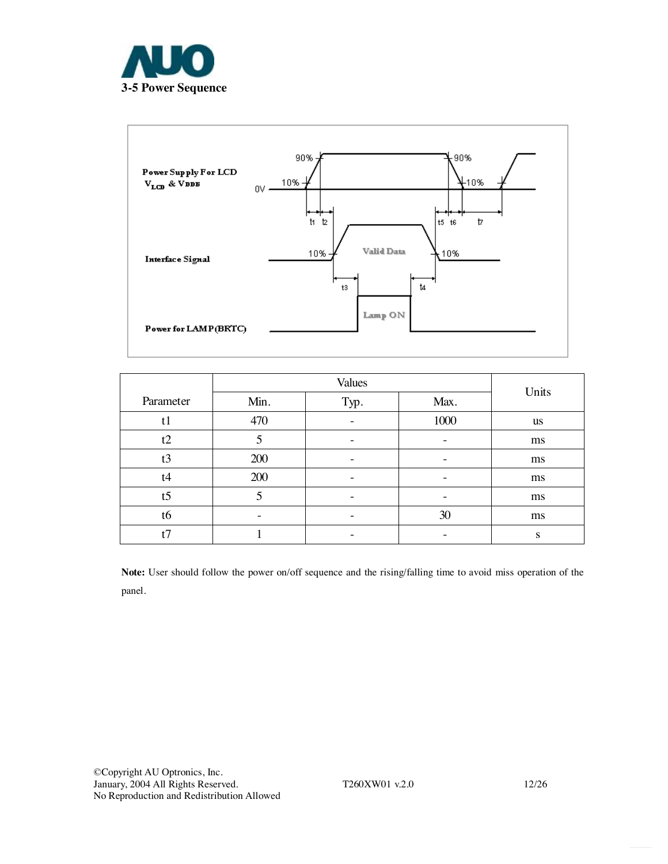



|                |                   | Units |      |           |
|----------------|-------------------|-------|------|-----------|
| Parameter      | Min.              | Typ.  |      |           |
| t1             | 470               |       | 1000 | <b>us</b> |
| t2             | 5                 | -     |      | ms        |
| t3             | 200               |       |      | ms        |
| t4             | 200               |       |      | ms        |
| t <sub>5</sub> | 5                 |       |      | ms        |
| t6             | $\qquad \qquad -$ |       | 30   | ms        |
| t7             |                   |       |      | S         |

**Note:** User should follow the power on/off sequence and the rising/falling time to avoid miss operation of the panel.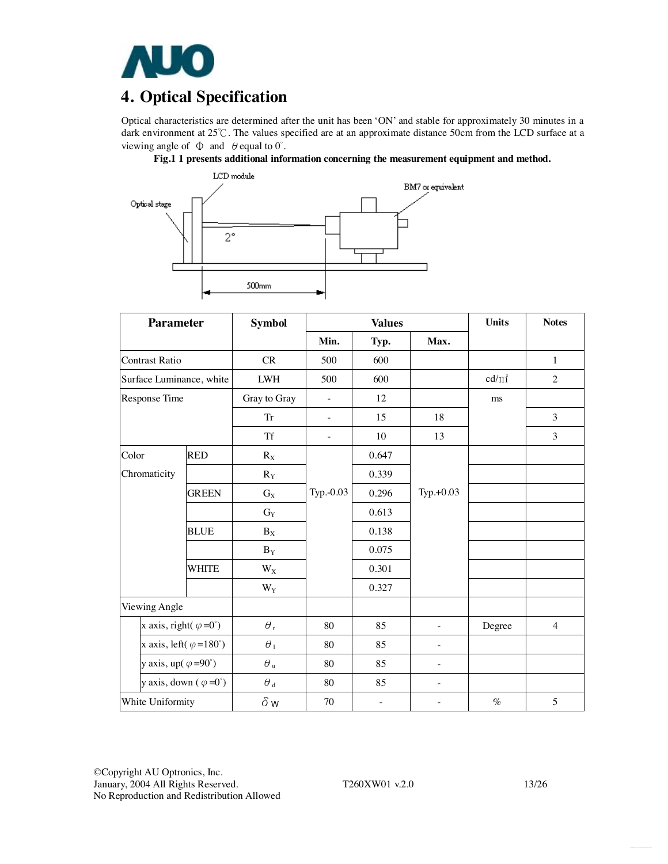

## **4. Optical Specification**

Optical characteristics are determined after the unit has been 'ON' and stable for approximately 30 minutes in a dark environment at 25℃. The values specified are at an approximate distance 50cm from the LCD surface at a viewing angle of  $\Phi$  and  $\theta$  equal to  $0^{\circ}$ .





| <b>Parameter</b>                       |              | <b>Symbol</b>       | <b>Values</b>            |                   |                          | <b>Units</b> | <b>Notes</b>   |
|----------------------------------------|--------------|---------------------|--------------------------|-------------------|--------------------------|--------------|----------------|
|                                        |              |                     | Min.                     | Typ.              | Max.                     |              |                |
| <b>Contrast Ratio</b>                  |              | CR                  | 500                      | 600               |                          |              | $\mathbf{1}$   |
| Surface Luminance, white               |              | <b>LWH</b>          | 500                      | 600               |                          | $cd/m^2$     | $\overline{2}$ |
| Response Time                          |              | Gray to Gray        | $\overline{\phantom{a}}$ | 12                |                          | ms           |                |
|                                        |              | ${\rm Tr}$          | $\overline{\phantom{a}}$ | 15                | 18                       |              | 3              |
|                                        |              | Tf                  | $\bar{a}$                | 10                | 13                       |              | 3              |
| Color                                  | <b>RED</b>   | $R_X$               |                          | 0.647             |                          |              |                |
| Chromaticity                           |              | $R_Y$               |                          | 0.339             |                          |              |                |
|                                        | <b>GREEN</b> | $G_X$               | Typ.-0.03                | 0.296             | $Typ.+0.03$              |              |                |
|                                        |              | $G_Y$               |                          | 0.613             |                          |              |                |
|                                        | <b>BLUE</b>  | $B_X$               |                          | 0.138             |                          |              |                |
|                                        |              | $B_Y$               |                          | 0.075             |                          |              |                |
|                                        | <b>WHITE</b> | $W_X$               |                          | 0.301             |                          |              |                |
|                                        |              | $W_Y$               |                          | 0.327             |                          |              |                |
| Viewing Angle                          |              |                     |                          |                   |                          |              |                |
| x axis, right( $\varphi = 0^{\circ}$ ) |              | $\theta_{\rm r}$    | 80                       | 85                | $\overline{a}$           | Degree       | $\overline{4}$ |
| x axis, left( $\varphi = 180^\circ$ )  |              | $\theta_1$          | 80                       | 85                | $\overline{a}$           |              |                |
| y axis, up( $\varphi = 90^\circ$ )     |              | $\theta$ u          | 80                       | 85                | ÷,                       |              |                |
| y axis, down $(\varphi = 0^{\circ})$   |              | $\theta$ $_{\rm d}$ | 80                       | 85                | $\overline{\phantom{0}}$ |              |                |
| White Uniformity                       |              | $\delta w$          | 70                       | $\qquad \qquad -$ |                          | $\%$         | 5              |

©Copyright AU Optronics, Inc. January, 2004 All Rights Reserved. T260XW01 v.2.0 13/26 No Reproduction and Redistribution Allowed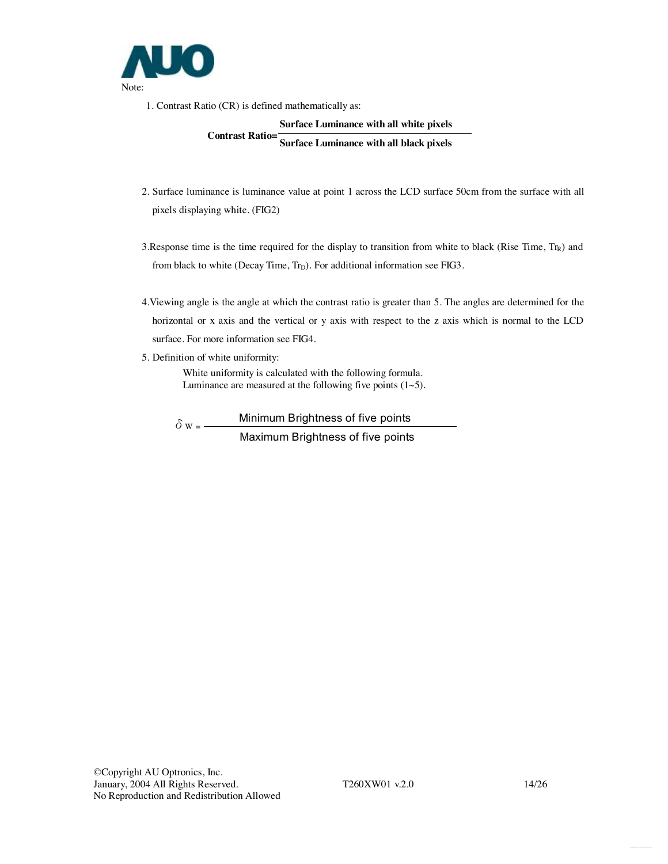

1. Contrast Ratio (CR) is defined mathematically as:

## **Surface Luminance with all white pixels Contrast Ratio= Surface Luminance with all black pixels**

- 2. Surface luminance is luminance value at point 1 across the LCD surface 50cm from the surface with all pixels displaying white. (FIG2)
- 3. Response time is the time required for the display to transition from white to black (Rise Time,  $Tr_R$ ) and from black to white (Decay Time,  $Tr_D$ ). For additional information see FIG3.
- 4.Viewing angle is the angle at which the contrast ratio is greater than 5. The angles are determined for the horizontal or x axis and the vertical or y axis with respect to the z axis which is normal to the LCD surface. For more information see FIG4.
- 5. Definition of white uniformity:

White uniformity is calculated with the following formula. Luminance are measured at the following five points  $(1~5)$ .

 $\delta w =$  Minimum Brightness of five points Maximum Brightness of five points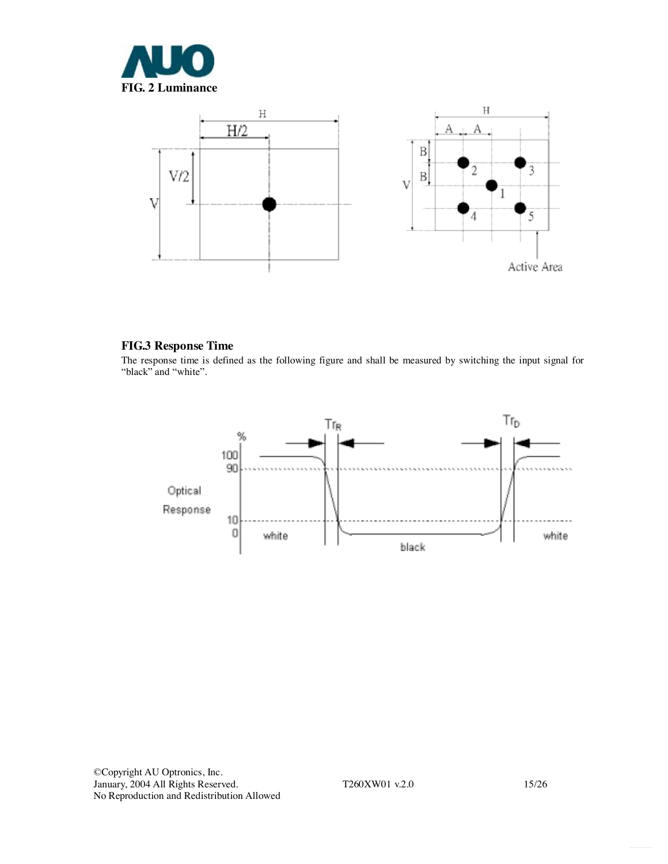



### **FIG.3 Response Time**

The response time is defined as the following figure and shall be measured by switching the input signal for "black" and "white".

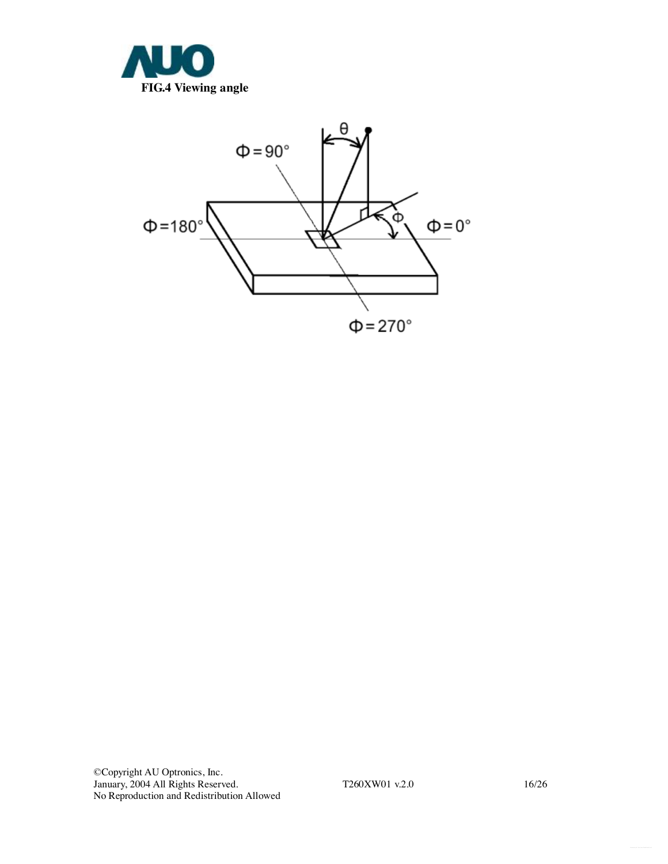

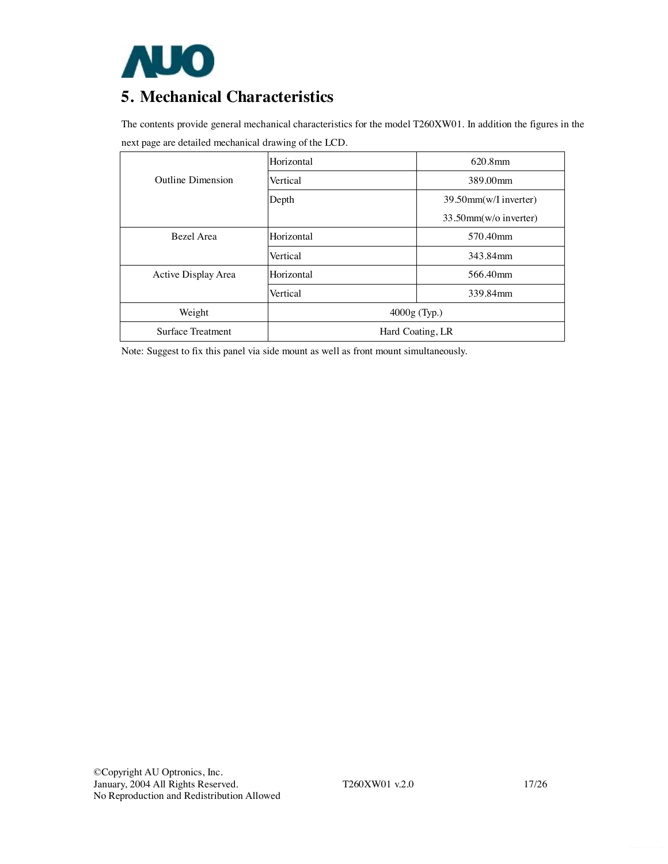

## **5. Mechanical Characteristics**

The contents provide general mechanical characteristics for the model T260XW01. In addition the figures in the next page are detailed mechanical drawing of the LCD.

|                          | Horizontal       | $620.8$ mm               |  |
|--------------------------|------------------|--------------------------|--|
| <b>Outline Dimension</b> | Vertical         | 389.00mm                 |  |
|                          | Depth            | 39.50mm(w/I inverter)    |  |
|                          |                  | $33.50$ mm(w/o inverter) |  |
| Bezel Area               | Horizontal       | 570.40mm                 |  |
|                          | Vertical         | 343.84mm                 |  |
| Active Display Area      | Horizontal       | 566.40mm                 |  |
|                          | Vertical         | 339.84mm                 |  |
| Weight                   | $4000g$ (Typ.)   |                          |  |
| <b>Surface Treatment</b> | Hard Coating, LR |                          |  |

Note: Suggest to fix this panel via side mount as well as front mount simultaneously.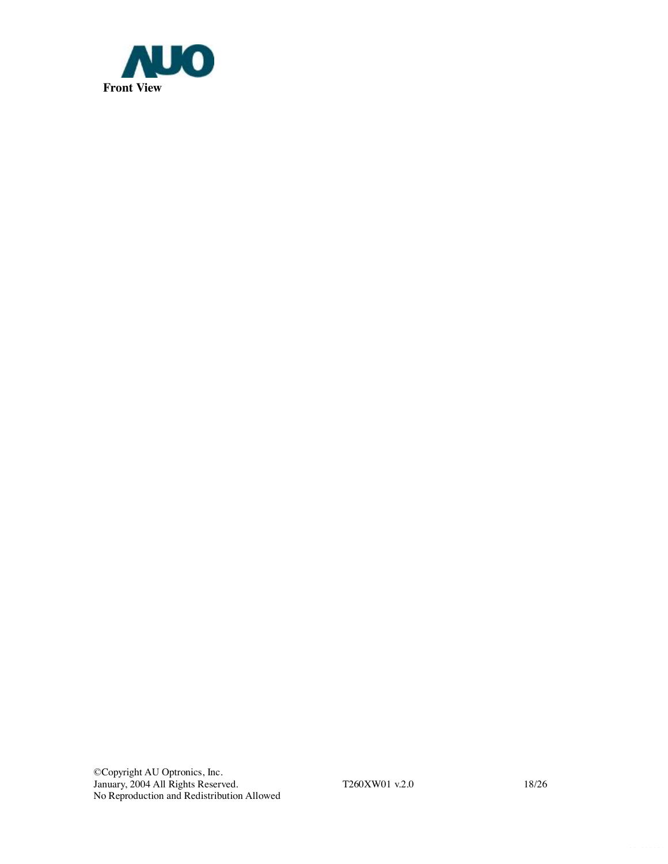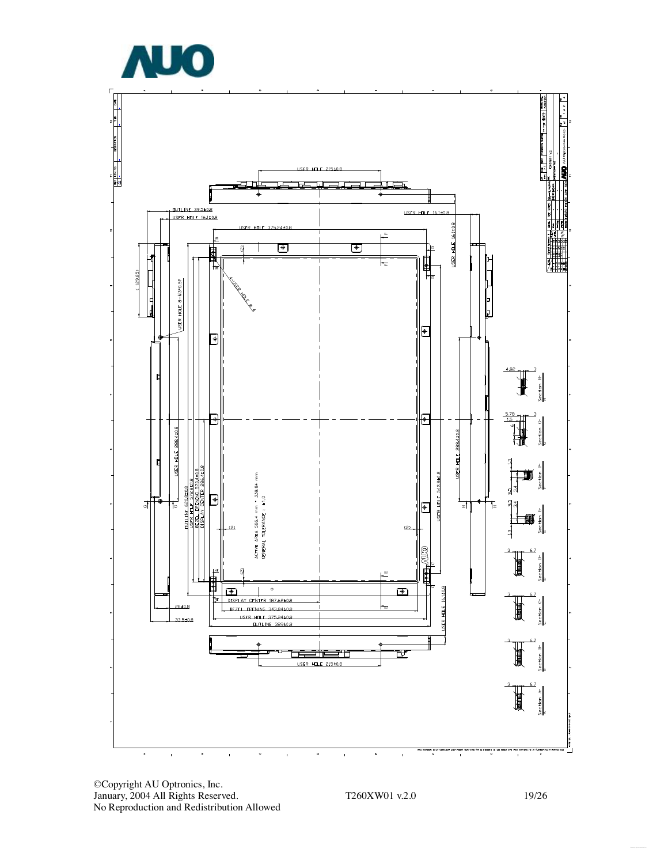

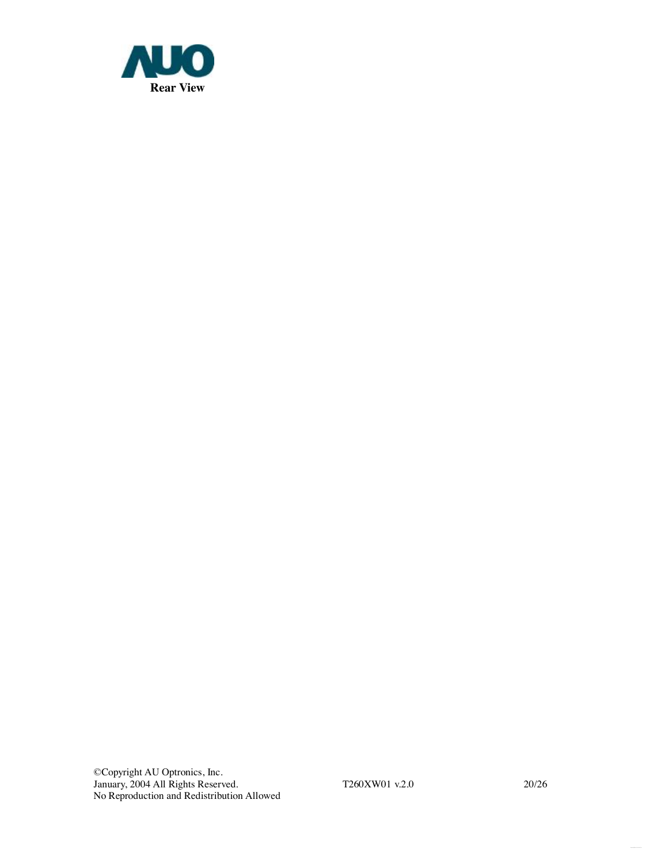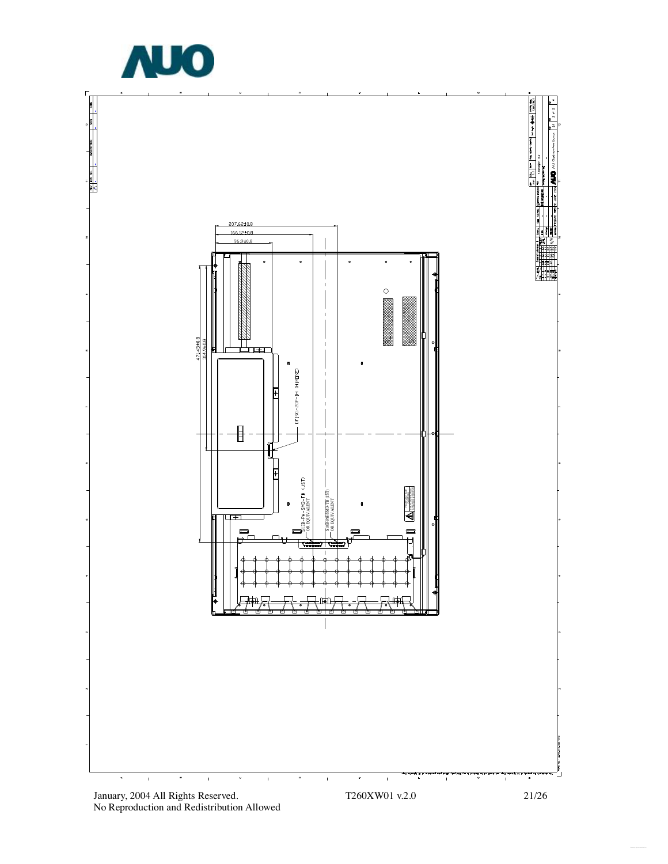

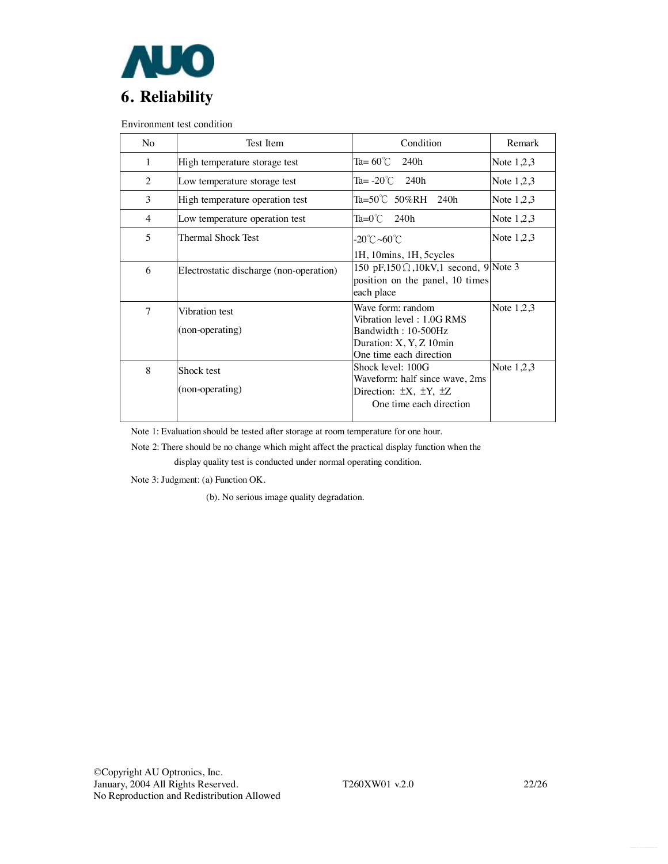

Environment test condition

| Test Item                       | Condition                                                                     | Remark                                                                                                                                                                                                                                                                                                                              |
|---------------------------------|-------------------------------------------------------------------------------|-------------------------------------------------------------------------------------------------------------------------------------------------------------------------------------------------------------------------------------------------------------------------------------------------------------------------------------|
| High temperature storage test   | Ta= $60^{\circ}$ C<br>240h                                                    | Note $1,2,3$                                                                                                                                                                                                                                                                                                                        |
| Low temperature storage test    | Ta= $-20^{\circ}$ C 240h                                                      | Note $1,2,3$                                                                                                                                                                                                                                                                                                                        |
| High temperature operation test | Ta=50℃ 50%RH 240h                                                             | Note $1,2,3$                                                                                                                                                                                                                                                                                                                        |
| Low temperature operation test  | $Ta=0^{\circ}$ C 240h                                                         | Note $1,2,3$                                                                                                                                                                                                                                                                                                                        |
| Thermal Shock Test              | -20℃~60℃                                                                      | Note $1,2,3$                                                                                                                                                                                                                                                                                                                        |
|                                 | 1H, 10mins, 1H, 5 cycles                                                      |                                                                                                                                                                                                                                                                                                                                     |
|                                 |                                                                               |                                                                                                                                                                                                                                                                                                                                     |
|                                 |                                                                               |                                                                                                                                                                                                                                                                                                                                     |
|                                 |                                                                               |                                                                                                                                                                                                                                                                                                                                     |
| Vibration test                  | Wave form: random                                                             | Note $1,2,3$                                                                                                                                                                                                                                                                                                                        |
|                                 |                                                                               |                                                                                                                                                                                                                                                                                                                                     |
|                                 |                                                                               |                                                                                                                                                                                                                                                                                                                                     |
|                                 |                                                                               |                                                                                                                                                                                                                                                                                                                                     |
|                                 |                                                                               |                                                                                                                                                                                                                                                                                                                                     |
| Shock test                      |                                                                               | Note $1,2,3$                                                                                                                                                                                                                                                                                                                        |
|                                 |                                                                               |                                                                                                                                                                                                                                                                                                                                     |
|                                 |                                                                               |                                                                                                                                                                                                                                                                                                                                     |
|                                 |                                                                               |                                                                                                                                                                                                                                                                                                                                     |
|                                 | Electrostatic discharge (non-operation)<br>(non-operating)<br>(non-operating) | 150 pF,150 $\Omega$ ,10kV,1 second, 9 Note 3<br>position on the panel, 10 times<br>each place<br>Vibration level: 1.0G RMS<br>Bandwidth: 10-500Hz<br>Duration: X, Y, Z 10min<br>One time each direction<br>Shock level: 100G<br>Waveform: half since wave, 2ms<br>Direction: $\pm X$ , $\pm Y$ , $\pm Z$<br>One time each direction |

Note 1: Evaluation should be tested after storage at room temperature for one hour.

Note 2: There should be no change which might affect the practical display function when the

display quality test is conducted under normal operating condition.

Note 3: Judgment: (a) Function OK.

(b). No serious image quality degradation.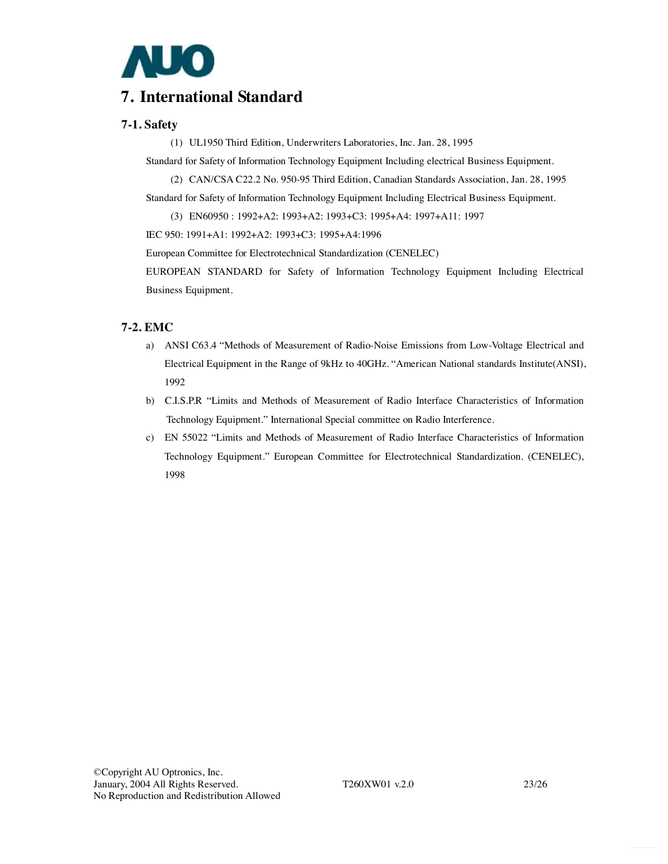

## **7. International Standard**

### **7-1. Safety**

(1) UL1950 Third Edition, Underwriters Laboratories, Inc. Jan. 28, 1995

Standard for Safety of Information Technology Equipment Including electrical Business Equipment.

(2) CAN/CSA C22.2 No. 950-95 Third Edition, Canadian Standards Association, Jan. 28, 1995

Standard for Safety of Information Technology Equipment Including Electrical Business Equipment.

(3) EN60950 : 1992+A2: 1993+A2: 1993+C3: 1995+A4: 1997+A11: 1997

IEC 950: 1991+A1: 1992+A2: 1993+C3: 1995+A4:1996

European Committee for Electrotechnical Standardization (CENELEC)

EUROPEAN STANDARD for Safety of Information Technology Equipment Including Electrical Business Equipment.

### **7-2. EMC**

- a) ANSI C63.4 "Methods of Measurement of Radio-Noise Emissions from Low-Voltage Electrical and Electrical Equipment in the Range of 9kHz to 40GHz. "American National standards Institute(ANSI), 1992
- b) C.I.S.P.R "Limits and Methods of Measurement of Radio Interface Characteristics of Information Technology Equipment." International Special committee on Radio Interference.
- c) EN 55022 "Limits and Methods of Measurement of Radio Interface Characteristics of Information Technology Equipment." European Committee for Electrotechnical Standardization. (CENELEC), 1998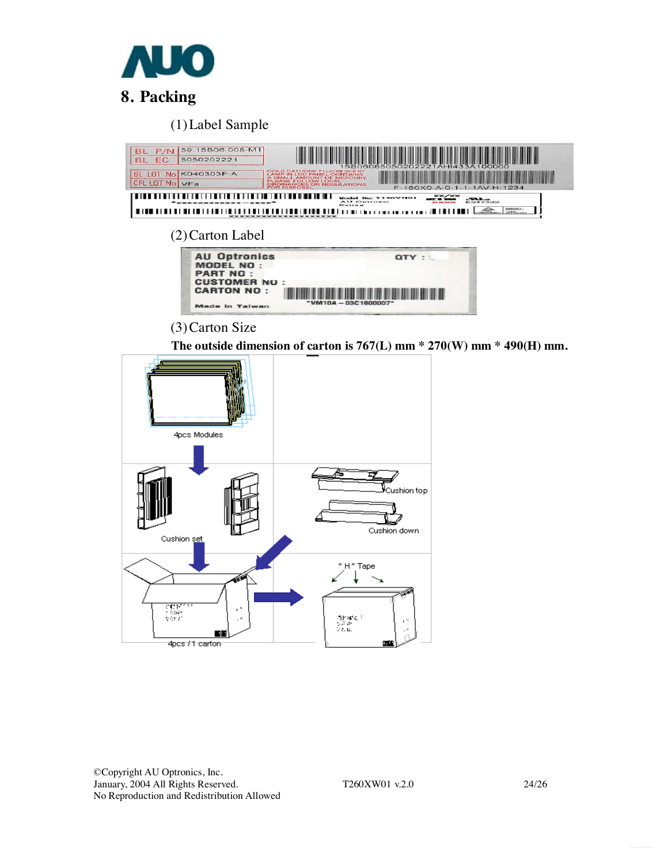

# **8. Packing**

(1)Label Sample

| 59.15B06.008-M1<br>P/N<br><b>BL</b><br>BL EC<br>5050202221<br>K040303F-A<br>BI<br><b>IOT No</b><br><b>CFL LOT No VFa</b>                                | COLD CATHODE FLUORESCENT<br><b>LAMP IN LCD PANEL CONTAINS</b><br>A SMALL AMOUNT OF MERCURY<br><b>EASE FOLLOW LOCAL</b><br><b>ORDINANCES OR REGULATIONS</b><br><b>FOR DISPOSAL</b><br>$-1 - 1AV-H-1234$<br>F-150X0-A-0-1 |  |  |  |  |
|---------------------------------------------------------------------------------------------------------------------------------------------------------|-------------------------------------------------------------------------------------------------------------------------------------------------------------------------------------------------------------------------|--|--|--|--|
| XX/XX<br>Model No: T140VN01<br>$-50.3$<br><b>AU Optronic</b><br>E247522<br>Film them at<br><b>SERVICE</b><br><b>Tarbon</b><br>************************* |                                                                                                                                                                                                                         |  |  |  |  |
| (2) Carton Label                                                                                                                                        |                                                                                                                                                                                                                         |  |  |  |  |
| <b>AU Optronics</b><br>MODEL NO:<br><b>PART NO:</b>                                                                                                     | $OTY$ :                                                                                                                                                                                                                 |  |  |  |  |
| <b>CUSTOMER NO</b><br><b>CARTON NO:</b><br>Made in Taiwan                                                                                               | $*$ VM10A - 03C1800007*                                                                                                                                                                                                 |  |  |  |  |
| $(3)$ Carton Size                                                                                                                                       |                                                                                                                                                                                                                         |  |  |  |  |
| The outside dimension of carton is $767(L)$ mm $*$ 270(W) mm $*$ 490(H) mm.                                                                             |                                                                                                                                                                                                                         |  |  |  |  |

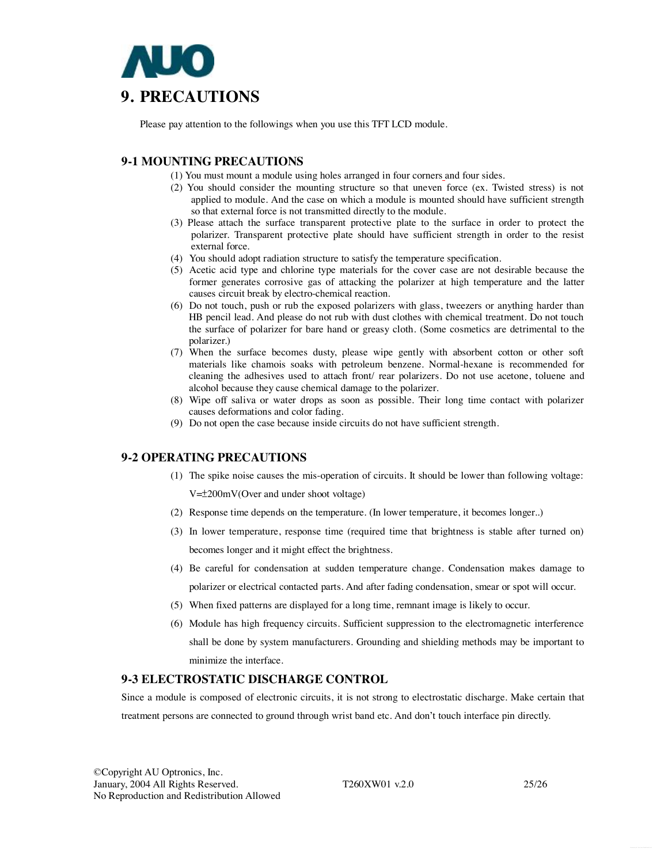

Please pay attention to the followings when you use this TFT LCD module.

## **9-1 MOUNTING PRECAUTIONS**

- (1) You must mount a module using holes arranged in four corners and four sides.
- (2) You should consider the mounting structure so that uneven force (ex. Twisted stress) is not applied to module. And the case on which a module is mounted should have sufficient strength so that external force is not transmitted directly to the module.
- (3) Please attach the surface transparent protective plate to the surface in order to protect the polarizer. Transparent protective plate should have sufficient strength in order to the resist external force.
- (4) You should adopt radiation structure to satisfy the temperature specification.
- (5) Acetic acid type and chlorine type materials for the cover case are not desirable because the former generates corrosive gas of attacking the polarizer at high temperature and the latter causes circuit break by electro-chemical reaction.
- (6) Do not touch, push or rub the exposed polarizers with glass, tweezers or anything harder than HB pencil lead. And please do not rub with dust clothes with chemical treatment. Do not touch the surface of polarizer for bare hand or greasy cloth. (Some cosmetics are detrimental to the polarizer.)
- (7) When the surface becomes dusty, please wipe gently with absorbent cotton or other soft materials like chamois soaks with petroleum benzene. Normal-hexane is recommended for cleaning the adhesives used to attach front/ rear polarizers. Do not use acetone, toluene and alcohol because they cause chemical damage to the polarizer.
- (8) Wipe off saliva or water drops as soon as possible. Their long time contact with polarizer causes deformations and color fading.
- (9) Do not open the case because inside circuits do not have sufficient strength.

#### **9-2 OPERATING PRECAUTIONS**

(1) The spike noise causes the mis-operation of circuits. It should be lower than following voltage:

V=±200mV(Over and under shoot voltage)

- (2) Response time depends on the temperature. (In lower temperature, it becomes longer..)
- (3) In lower temperature, response time (required time that brightness is stable after turned on) becomes longer and it might effect the brightness.
- (4) Be careful for condensation at sudden temperature change. Condensation makes damage to polarizer or electrical contacted parts. And after fading condensation, smear or spot will occur.
- (5) When fixed patterns are displayed for a long time, remnant image is likely to occur.
- (6) Module has high frequency circuits. Sufficient suppression to the electromagnetic interference shall be done by system manufacturers. Grounding and shielding methods may be important to minimize the interface.

#### **9-3 ELECTROSTATIC DISCHARGE CONTROL**

Since a module is composed of electronic circuits, it is not strong to electrostatic discharge. Make certain that treatment persons are connected to ground through wrist band etc. And don't touch interface pin directly.